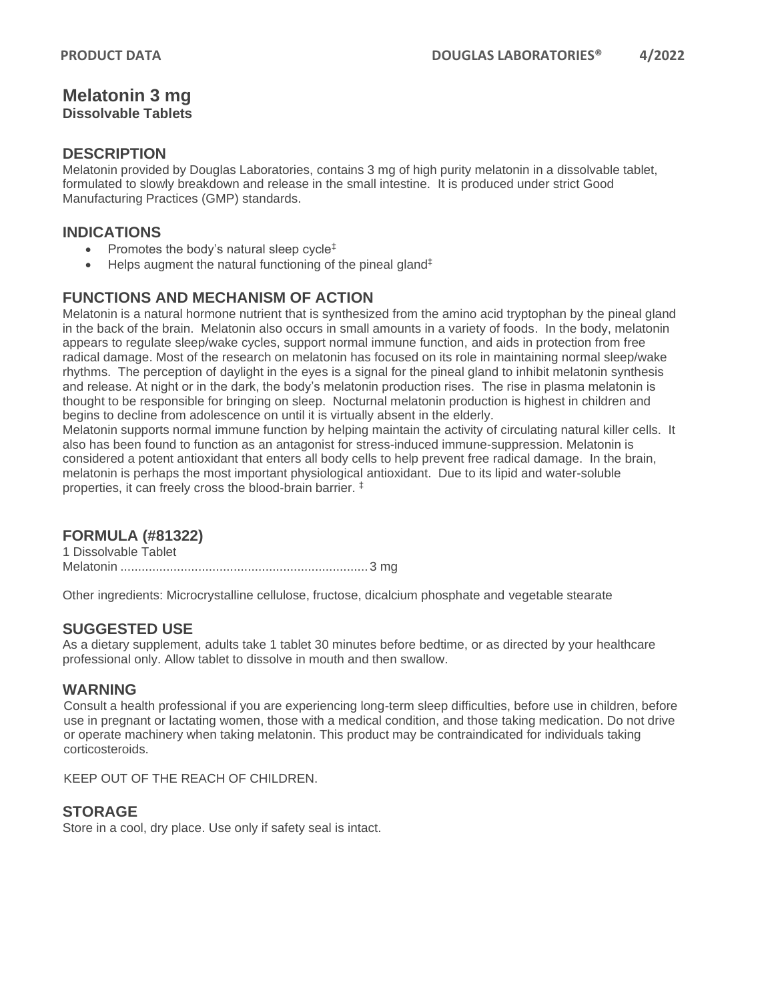# **Melatonin 3 mg**

# **Dissolvable Tablets**

#### **DESCRIPTION**

Melatonin provided by Douglas Laboratories, contains 3 mg of high purity melatonin in a dissolvable tablet, formulated to slowly breakdown and release in the small intestine. It is produced under strict Good Manufacturing Practices (GMP) standards.

## **INDICATIONS**

- Promotes the body's natural sleep cycle<sup> $\ddagger$ </sup>
- Helps augment the natural functioning of the pineal gland‡

# **FUNCTIONS AND MECHANISM OF ACTION**

Melatonin is a natural hormone nutrient that is synthesized from the amino acid tryptophan by the pineal gland in the back of the brain. Melatonin also occurs in small amounts in a variety of foods. In the body, melatonin appears to regulate sleep/wake cycles, support normal immune function, and aids in protection from free radical damage. Most of the research on melatonin has focused on its role in maintaining normal sleep/wake rhythms. The perception of daylight in the eyes is a signal for the pineal gland to inhibit melatonin synthesis and release. At night or in the dark, the body's melatonin production rises. The rise in plasma melatonin is thought to be responsible for bringing on sleep. Nocturnal melatonin production is highest in children and begins to decline from adolescence on until it is virtually absent in the elderly.

Melatonin supports normal immune function by helping maintain the activity of circulating natural killer cells. It also has been found to function as an antagonist for stress-induced immune-suppression. Melatonin is considered a potent antioxidant that enters all body cells to help prevent free radical damage. In the brain, melatonin is perhaps the most important physiological antioxidant. Due to its lipid and water-soluble properties, it can freely cross the blood-brain barrier. ‡

# **FORMULA (#81322)**

1 Dissolvable Tablet Melatonin ......................................................................3 mg

Other ingredients: Microcrystalline cellulose, fructose, dicalcium phosphate and vegetable stearate

#### **SUGGESTED USE**

As a dietary supplement, adults take 1 tablet 30 minutes before bedtime, or as directed by your healthcare professional only. Allow tablet to dissolve in mouth and then swallow.

#### **WARNING**

Consult a health professional if you are experiencing long-term sleep difficulties, before use in children, before use in pregnant or lactating women, those with a medical condition, and those taking medication. Do not drive or operate machinery when taking melatonin. This product may be contraindicated for individuals taking corticosteroids.

KEEP OUT OF THE REACH OF CHILDREN.

#### **STORAGE**

Store in a cool, dry place. Use only if safety seal is intact.